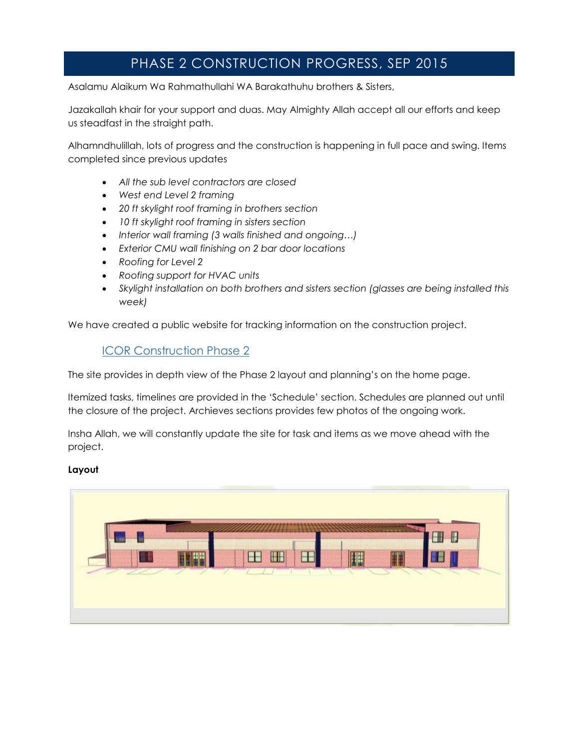# PHASE 2 CONSTRUCTION PROGRESS, SEP 2015

Asalamu Alaikum Wa Rahmathullahi WA Barakathuhu brothers & Sisters,

Jazakallah khair for your support and duas. May Almighty Allah accept all our efforts and keep us steadfast in the straight path.

Alhamndhulillah, lots of progress and the construction is happening in full pace and swing. Items completed since previous updates

- *All the sub level contractors are closed*
- *West end Level 2 framing*
- *20 ft skylight roof framing in brothers section*
- *10 ft skylight roof framing in sisters section*
- *Interior wall framing (3 walls finished and ongoing…)*
- *Exterior CMU wall finishing on 2 bar door locations*
- *Roofing for Level 2*
- *Roofing support for HVAC units*
- *Skylight installation on both brothers and sisters section (glasses are being installed this week)*

We have created a public website for tracking information on the construction project.

# [ICOR Construction Phase 2](http://redmondmosque-public.sharepoint.com/)

The site provides in depth view of the Phase 2 layout and planning's on the home page.

Itemized tasks, timelines are provided in the 'Schedule' section. Schedules are planned out until the closure of the project. Archieves sections provides few photos of the ongoing work.

Insha Allah, we will constantly update the site for task and items as we move ahead with the project.

## **Layout**

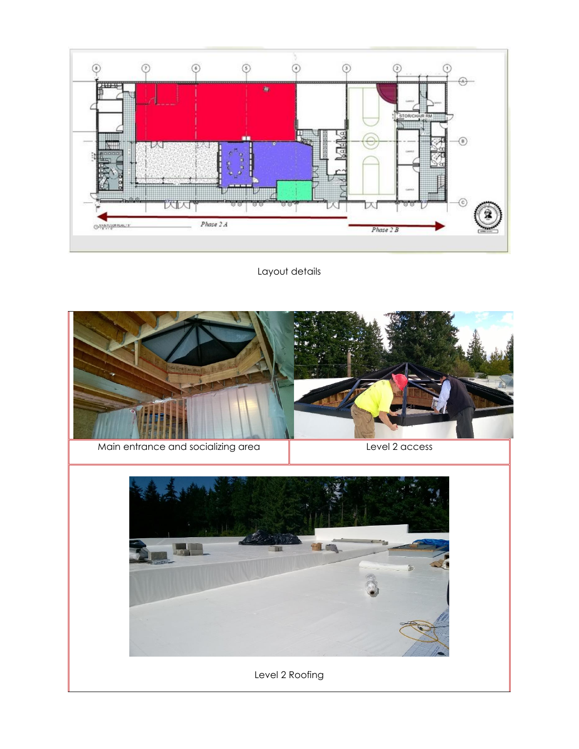

Layout details

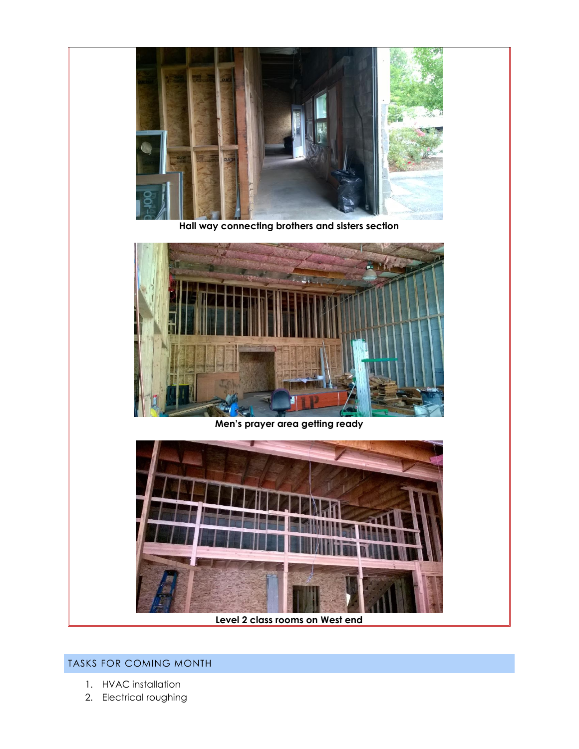

**Hall way connecting brothers and sisters section**



**Men's prayer area getting ready**



**Level 2 class rooms on West end**

# TASKS FOR COMING MONTH

- 1. HVAC installation
- 2. Electrical roughing